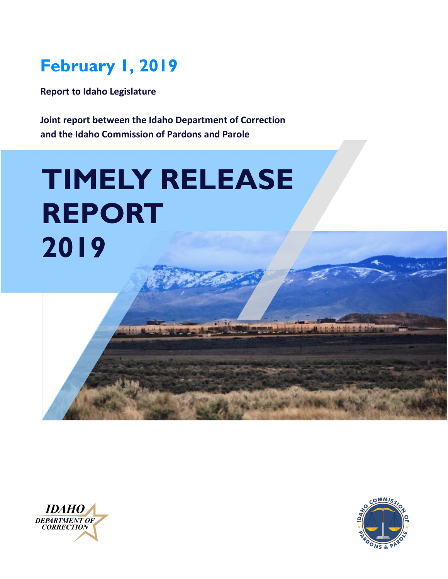# **February 1, 2019**

**Report to Idaho Legislature**

**Joint report between the Idaho Department of Correction and the Idaho Commission of Pardons and Parole**

# **TIMELY RELEASE REPORT 2019**



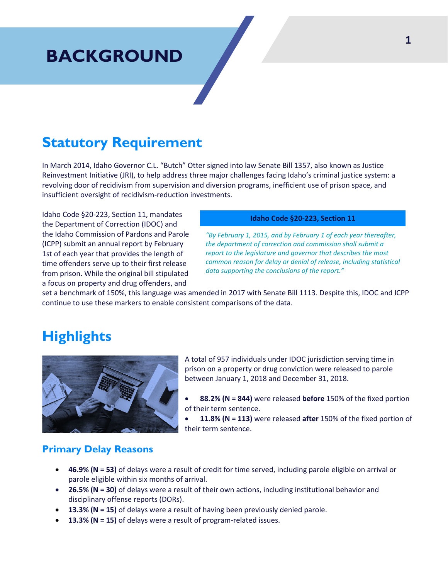# **BACKGROUND**

### **Statutory Requirement**

In March 2014, Idaho Governor C.L. "Butch" Otter signed into law Senate Bill 1357, also known as Justice Reinvestment Initiative (JRI), to help address three major challenges facing Idaho's criminal justice system: a revolving door of recidivism from supervision and diversion programs, inefficient use of prison space, and insufficient oversight of recidivism-reduction investments.

Idaho Code §20-223, Section 11, mandates the Department of Correction (IDOC) and the Idaho Commission of Pardons and Parole (ICPP) submit an annual report by February 1st of each year that provides the length of time offenders serve up to their first release from prison. While the original bill stipulated a focus on property and drug offenders, and

#### **Idaho Code §20-223, Section 11**

*"By February 1, 2015, and by February 1 of each year thereafter, the department of correction and commission shall submit a report to the legislature and governor that describes the most common reason for delay or denial of release, including statistical data supporting the conclusions of the report."*

set a benchmark of 150%, this language was amended in 2017 with Senate Bill 1113. Despite this, IDOC and ICPP continue to use these markers to enable consistent comparisons of the data.

### **Highlights**



A total of 957 individuals under IDOC jurisdiction serving time in prison on a property or drug conviction were released to parole between January 1, 2018 and December 31, 2018.

- **88.2% (N = 844)** were released **before** 150% of the fixed portion of their term sentence.
- **11.8% (N = 113)** were released **after** 150% of the fixed portion of their term sentence.

#### **Primary Delay Reasons**

- **46.9% (N = 53)** of delays were a result of credit for time served, including parole eligible on arrival or parole eligible within six months of arrival.
- **26.5% (N = 30)** of delays were a result of their own actions, including institutional behavior and disciplinary offense reports (DORs).
- **13.3% (N = 15)** of delays were a result of having been previously denied parole.
- **13.3% (N = 15)** of delays were a result of program-related issues.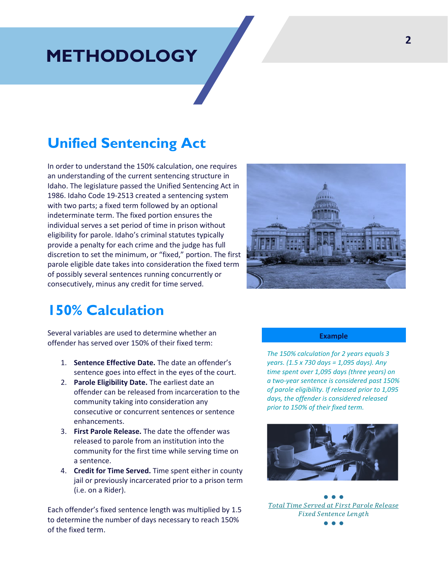## **METHODOLOGY**

### **Unified Sentencing Act**

In order to understand the 150% calculation, one requires an understanding of the current sentencing structure in Idaho. The legislature passed the Unified Sentencing Act in 1986. Idaho Code 19-2513 created a sentencing system with two parts; a fixed term followed by an optional indeterminate term. The fixed portion ensures the individual serves a set period of time in prison without eligibility for parole. Idaho's criminal statutes typically provide a penalty for each crime and the judge has full discretion to set the minimum, or "fixed," portion. The first parole eligible date takes into consideration the fixed term of possibly several sentences running concurrently or consecutively, minus any credit for time served.



### **150% Calculation**

Several variables are used to determine whether an offender has served over 150% of their fixed term:

- 1. **Sentence Effective Date.** The date an offender's sentence goes into effect in the eyes of the court.
- 2. **Parole Eligibility Date.** The earliest date an offender can be released from incarceration to the community taking into consideration any consecutive or concurrent sentences or sentence enhancements.
- 3. **First Parole Release.** The date the offender was released to parole from an institution into the community for the first time while serving time on a sentence.
- 4. **Credit for Time Served.** Time spent either in county jail or previously incarcerated prior to a prison term (i.e. on a Rider).

Each offender's fixed sentence length was multiplied by 1.5 to determine the number of days necessary to reach 150% of the fixed term.

#### **Example**

*The 150% calculation for 2 years equals 3 years. (1.5 x 730 days = 1,095 days). Any time spent over 1,095 days (three years) on a two-year sentence is considered past 150% of parole eligibility. If released prior to 1,095 days, the offender is considered released prior to 150% of their fixed term.*



● ● ● Total Time Served at First Parole Release **Fixed Sentence Length** ● ● ●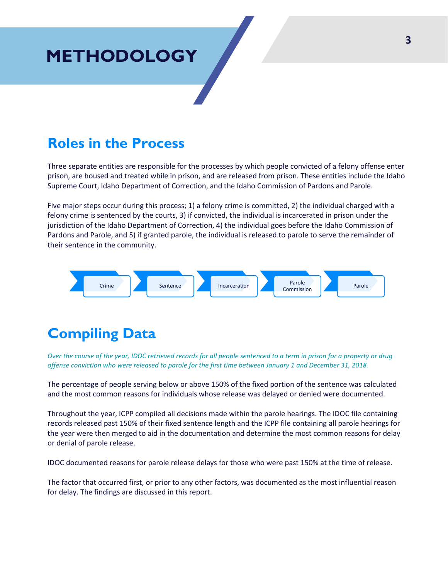# **METHODOLOGY**

### **Roles in the Process**

Three separate entities are responsible for the processes by which people convicted of a felony offense enter prison, are housed and treated while in prison, and are released from prison. These entities include the Idaho Supreme Court, Idaho Department of Correction, and the Idaho Commission of Pardons and Parole.

Five major steps occur during this process; 1) a felony crime is committed, 2) the individual charged with a felony crime is sentenced by the courts, 3) if convicted, the individual is incarcerated in prison under the jurisdiction of the Idaho Department of Correction, 4) the individual goes before the Idaho Commission of Pardons and Parole, and 5) if granted parole, the individual is released to parole to serve the remainder of their sentence in the community.



### **Compiling Data**

*Over the course of the year, IDOC retrieved records for all people sentenced to a term in prison for a property or drug offense conviction who were released to parole for the first time between January 1 and December 31, 2018.* 

The percentage of people serving below or above 150% of the fixed portion of the sentence was calculated and the most common reasons for individuals whose release was delayed or denied were documented.

Throughout the year, ICPP compiled all decisions made within the parole hearings. The IDOC file containing records released past 150% of their fixed sentence length and the ICPP file containing all parole hearings for the year were then merged to aid in the documentation and determine the most common reasons for delay or denial of parole release.

IDOC documented reasons for parole release delays for those who were past 150% at the time of release.

The factor that occurred first, or prior to any other factors, was documented as the most influential reason for delay. The findings are discussed in this report.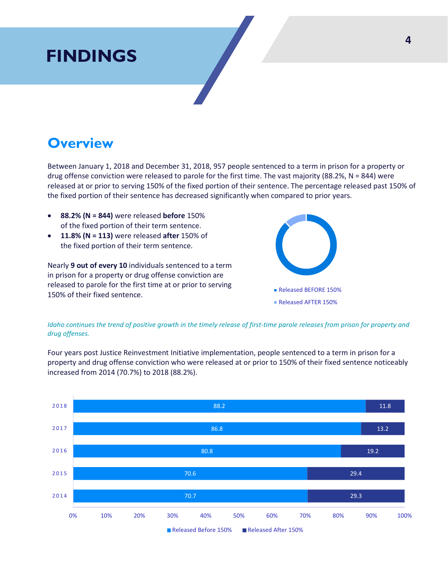# **FINDINGS**

### **Overview**

Between January 1, 2018 and December 31, 2018, 957 people sentenced to a term in prison for a property or drug offense conviction were released to parole for the first time. The vast majority (88.2%, N = 844) were released at or prior to serving 150% of the fixed portion of their sentence. The percentage released past 150% of the fixed portion of their sentence has decreased significantly when compared to prior years.

- **88.2% (N = 844)** were released **before** 150% of the fixed portion of their term sentence.
- **11.8% (N = 113)** were released **after** 150% of the fixed portion of their term sentence.

Nearly **9 out of every 10** individuals sentenced to a term in prison for a property or drug offense conviction are released to parole for the first time at or prior to serving 150% of their fixed sentence.



*Idaho continues the trend of positive growth in the timely release of first-time parole releases from prison for property and drug offenses.* 

Four years post Justice Reinvestment Initiative implementation, people sentenced to a term in prison for a property and drug offense conviction who were released at or prior to 150% of their fixed sentence noticeably increased from 2014 (70.7%) to 2018 (88.2%).

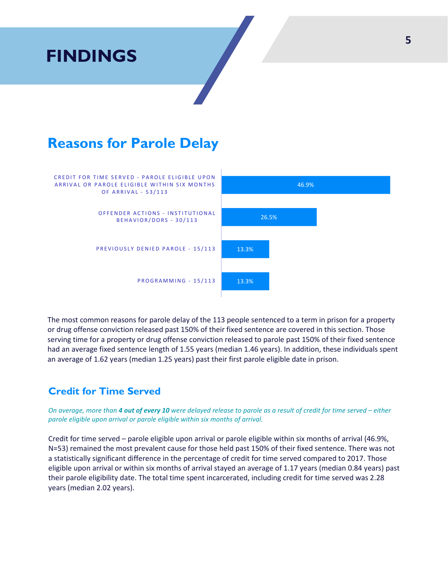

The most common reasons for parole delay of the 113 people sentenced to a term in prison for a property or drug offense conviction released past 150% of their fixed sentence are covered in this section. Those serving time for a property or drug offense conviction released to parole past 150% of their fixed sentence had an average fixed sentence length of 1.55 years (median 1.46 years). In addition, these individuals spent an average of 1.62 years (median 1.25 years) past their first parole eligible date in prison.

#### **Credit for Time Served**

*On average, more than 4 out of every 10 were delayed release to parole as a result of credit for time served – either parole eligible upon arrival or parole eligible within six months of arrival.*

Credit for time served – parole eligible upon arrival or parole eligible within six months of arrival (46.9%, N=53) remained the most prevalent cause for those held past 150% of their fixed sentence. There was not a statistically significant difference in the percentage of credit for time served compared to 2017. Those eligible upon arrival or within six months of arrival stayed an average of 1.17 years (median 0.84 years) past their parole eligibility date. The total time spent incarcerated, including credit for time served was 2.28 years (median 2.02 years).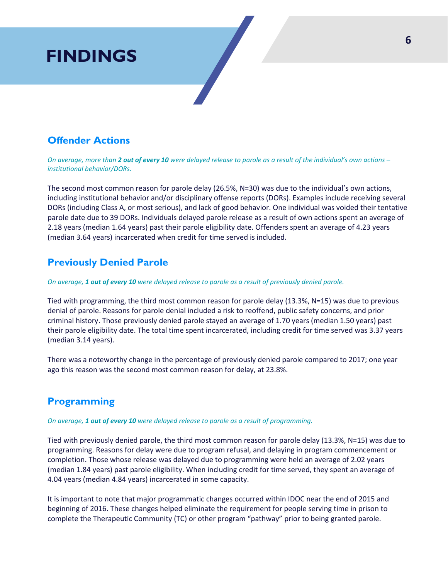# **FINDINGS**

#### **Offender Actions**

*On average, more than 2 out of every 10 were delayed release to parole as a result of the individual's own actions – institutional behavior/DORs.*

The second most common reason for parole delay (26.5%, N=30) was due to the individual's own actions, including institutional behavior and/or disciplinary offense reports (DORs). Examples include receiving several DORs (including Class A, or most serious), and lack of good behavior. One individual was voided their tentative parole date due to 39 DORs. Individuals delayed parole release as a result of own actions spent an average of 2.18 years (median 1.64 years) past their parole eligibility date. Offenders spent an average of 4.23 years (median 3.64 years) incarcerated when credit for time served is included.

#### **Previously Denied Parole**

*On average, 1 out of every 10 were delayed release to parole as a result of previously denied parole.*

Tied with programming, the third most common reason for parole delay (13.3%, N=15) was due to previous denial of parole. Reasons for parole denial included a risk to reoffend, public safety concerns, and prior criminal history. Those previously denied parole stayed an average of 1.70 years (median 1.50 years) past their parole eligibility date. The total time spent incarcerated, including credit for time served was 3.37 years (median 3.14 years).

There was a noteworthy change in the percentage of previously denied parole compared to 2017; one year ago this reason was the second most common reason for delay, at 23.8%.

#### **Programming**

*On average, 1 out of every 10 were delayed release to parole as a result of programming.*

Tied with previously denied parole, the third most common reason for parole delay (13.3%, N=15) was due to programming. Reasons for delay were due to program refusal, and delaying in program commencement or completion. Those whose release was delayed due to programming were held an average of 2.02 years (median 1.84 years) past parole eligibility. When including credit for time served, they spent an average of 4.04 years (median 4.84 years) incarcerated in some capacity.

It is important to note that major programmatic changes occurred within IDOC near the end of 2015 and beginning of 2016. These changes helped eliminate the requirement for people serving time in prison to complete the Therapeutic Community (TC) or other program "pathway" prior to being granted parole.